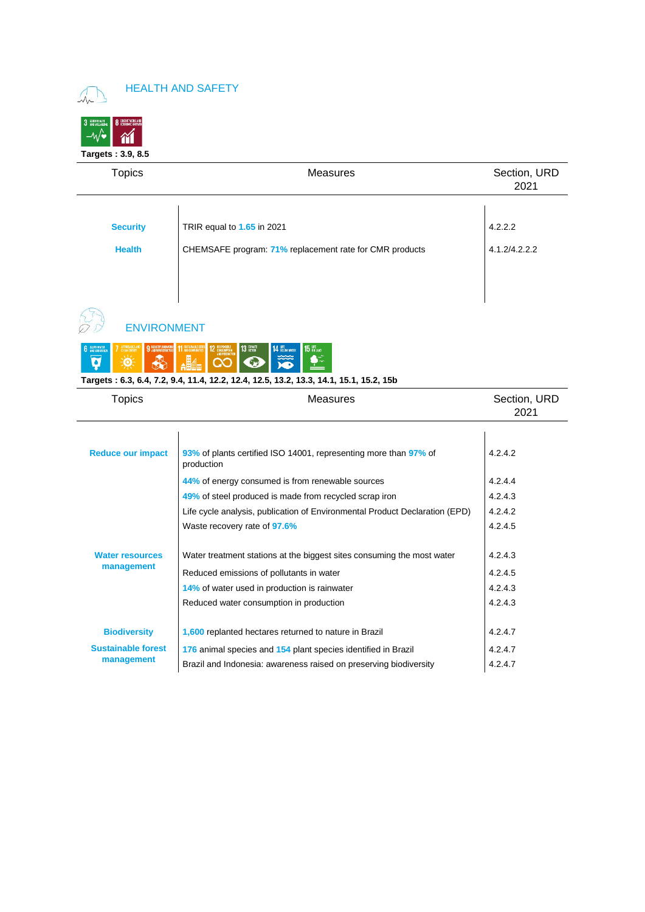#### HEALTH AND SAFETY



| <b>Topics</b>      | Measures                                                | Section, URD<br>2021 |
|--------------------|---------------------------------------------------------|----------------------|
|                    |                                                         |                      |
| <b>Security</b>    | TRIR equal to 1.65 in 2021                              | 4.2.2.2              |
| <b>Health</b>      | CHEMSAFE program: 71% replacement rate for CMR products | 4.1.2/4.2.2.2        |
|                    |                                                         |                      |
|                    |                                                         |                      |
|                    |                                                         |                      |
| <b>ENVIRONMENT</b> |                                                         |                      |

|                                                                                        |  |  | NAIL COIO DI DI | 11 SISTANDRE CITES 12 RESPONSIBLE 13 CUNATE 14 UFE AND CONVENTIES |  |  |  |  |  |
|----------------------------------------------------------------------------------------|--|--|-----------------|-------------------------------------------------------------------|--|--|--|--|--|
| Targets: 6.3, 6.4, 7.2, 9.4, 11.4, 12.2, 12.4, 12.5, 13.2, 13.3, 14.1, 15.1, 15.2, 15b |  |  |                 |                                                                   |  |  |  |  |  |

#### Topics **Measures** Measures **Measures** Section, URD 2021 **Reduce our impact 93%** of plants certified ISO 14001, representing more than **97%** of production 4.2.4.2 **44%** of energy consumed is from renewable sources 44% at 4.2.4.4 **49%** of steel produced is made from recycled scrap iron  $4.2.4.3$ Life cycle analysis, publication of Environmental Product Declaration (EPD) 4.2.4.2 Waste recovery rate of **97.6%** 4.2.4.5 **Water resources management** Water treatment stations at the biggest sites consuming the most water  $4.2.4.3$ Reduced emissions of pollutants in water  $4.2.4.5$ **14%** of water used in production is rainwater  $\vert$  4.2.4.3 Reduced water consumption in production  $4.2.4.3$ **Biodiversity Sustainable forest management 1,600** replanted hectares returned to nature in Brazil  $\vert$  4.2.4.7 **176** animal species and **154** plant species identified in Brazil **4.2.4.7** Brazil and Indonesia: awareness raised on preserving biodiversity | 4.2.4.7